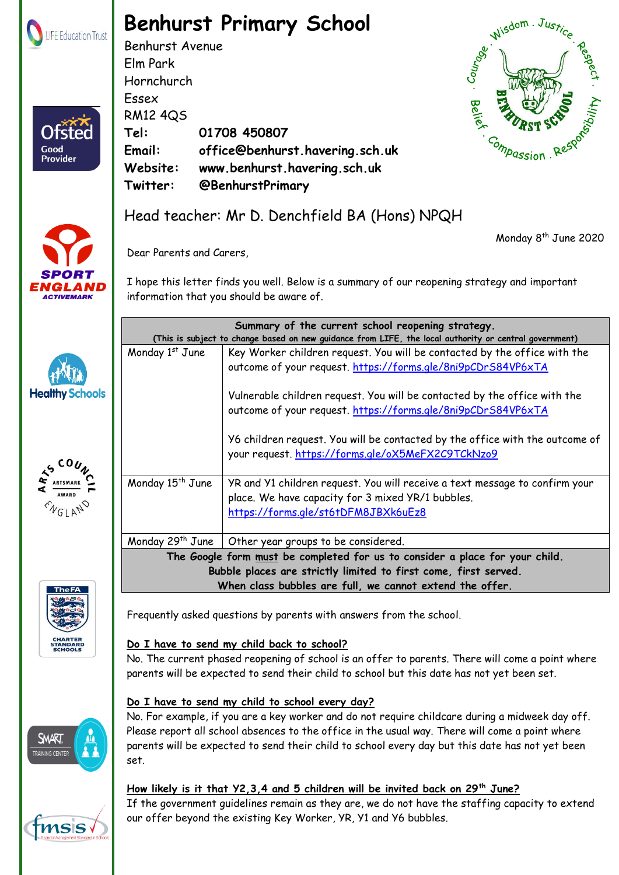

Otster

Good **Provider** 

# **Benhurst Primary School**

Benhurst Avenue Elm Park Hornchurch Essex RM12 4QS **Tel: 01708 450807 Email: office@benhurst.havering.sch.uk Website: www.benhurst.havering.sch.uk Twitter: @BenhurstPrimary**



Monday 8 th June 2020



**Healtl** 

# Head teacher: Mr D. Denchfield BA (Hons) NPQH

Dear Parents and Carers,

I hope this letter finds you well. Below is a summary of our reopening strategy and important information that you should be aware of.

|                                    | Summary of the current school reopening strategy.<br>(This is subject to change based on new guidance from LIFE, the local authority or central government) |                                                                                                                                                                         |
|------------------------------------|-------------------------------------------------------------------------------------------------------------------------------------------------------------|-------------------------------------------------------------------------------------------------------------------------------------------------------------------------|
|                                    | Monday 1st June                                                                                                                                             | Key Worker children request. You will be contacted by the office with the<br>outcome of your request. https://forms.gle/8ni9pCDrS84VP6xTA                               |
| <b>y Schools</b>                   |                                                                                                                                                             | Vulnerable children request. You will be contacted by the office with the<br>outcome of your request. https://forms.gle/8ni9pCDrS84VP6xTA                               |
|                                    |                                                                                                                                                             | Y6 children request. You will be contacted by the office with the outcome of<br>your request. https://forms.gle/oX5MeFX2C9TCkNzo9                                       |
| COUNC<br>WARD<br>SLAN <sup>O</sup> | Monday 15 <sup>th</sup> June                                                                                                                                | YR and Y1 children request. You will receive a text message to confirm your<br>place. We have capacity for 3 mixed YR/1 bubbles.<br>https://forms.gle/st6tDFM8JBXk6uEz8 |
|                                    | Monday 29 <sup>th</sup> June $\parallel$                                                                                                                    | Other year groups to be considered.                                                                                                                                     |
|                                    | The Google form must be completed for us to consider a place for your child.<br>Bubble places are strictly limited to first come, first served.             |                                                                                                                                                                         |
|                                    |                                                                                                                                                             |                                                                                                                                                                         |
| he FA                              | When class bubbles are full, we cannot extend the offer.                                                                                                    |                                                                                                                                                                         |



Frequently asked questions by parents with answers from the school.

# **Do I have to send my child back to school?**

No. The current phased reopening of school is an offer to parents. There will come a point where parents will be expected to send their child to school but this date has not yet been set.

# **Do I have to send my child to school every day?**

No. For example, if you are a key worker and do not require childcare during a midweek day off. Please report all school absences to the office in the usual way. There will come a point where parents will be expected to send their child to school every day but this date has not yet been set.

# **How likely is it that Y2,3,4 and 5 children will be invited back on 29th June?**

If the government guidelines remain as they are, we do not have the staffing capacity to extend our offer beyond the existing Key Worker, YR, Y1 and Y6 bubbles.